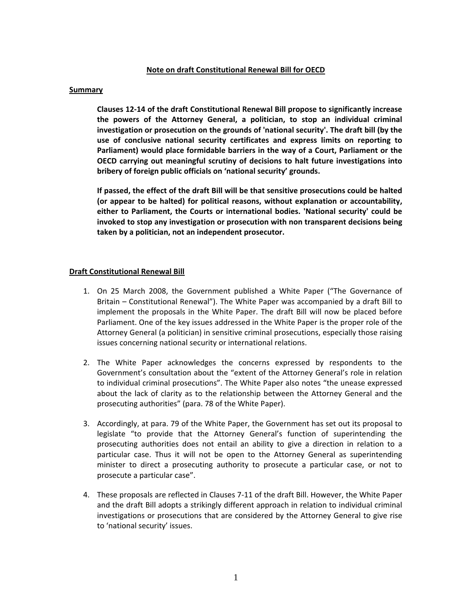### **Note on draft Constitutional Renewal Bill for OECD**

### **Summary**

**Clauses 12‐14 of the draft Constitutional Renewal Bill propose to significantly increase the powers of the Attorney General, a politician, to stop an individual criminal investigation or prosecution on the grounds of 'national security'. The draft bill (by the use of conclusive national security certificates and express limits on reporting to Parliament) would place formidable barriers in the way of a Court, Parliament or the OECD carrying out meaningful scrutiny of decisions to halt future investigations into bribery of foreign public officials on 'national security' grounds.**

**If passed, the effect of the draft Bill will be that sensitive prosecutions could be halted (or appear to be halted) for political reasons, without explanation or accountability, either to Parliament, the Courts or international bodies. 'National security' could be invoked to stop any investigation or prosecution with non transparent decisions being taken by a politician, not an independent prosecutor.**

### **Draft Constitutional Renewal Bill**

- 1. On 25 March 2008, the Government published a White Paper ("The Governance of Britain – Constitutional Renewal"). The White Paper was accompanied by a draft Bill to implement the proposals in the White Paper. The draft Bill will now be placed before Parliament. One of the key issues addressed in the White Paper is the proper role of the Attorney General (a politician) in sensitive criminal prosecutions, especially those raising issues concerning national security or international relations.
- 2. The White Paper acknowledges the concerns expressed by respondents to the Government's consultation about the "extent of the Attorney General's role in relation to individual criminal prosecutions". The White Paper also notes "the unease expressed about the lack of clarity as to the relationship between the Attorney General and the prosecuting authorities" (para. 78 of the White Paper).
- 3. Accordingly, at para. 79 of the White Paper, the Government has set out its proposal to legislate "to provide that the Attorney General's function of superintending the prosecuting authorities does not entail an ability to give a direction in relation to a particular case. Thus it will not be open to the Attorney General as superintending minister to direct a prosecuting authority to prosecute a particular case, or not to prosecute a particular case".
- 4. These proposals are reflected in Clauses 7‐11 of the draft Bill. However, the White Paper and the draft Bill adopts a strikingly different approach in relation to individual criminal investigations or prosecutions that are considered by the Attorney General to give rise to 'national security' issues.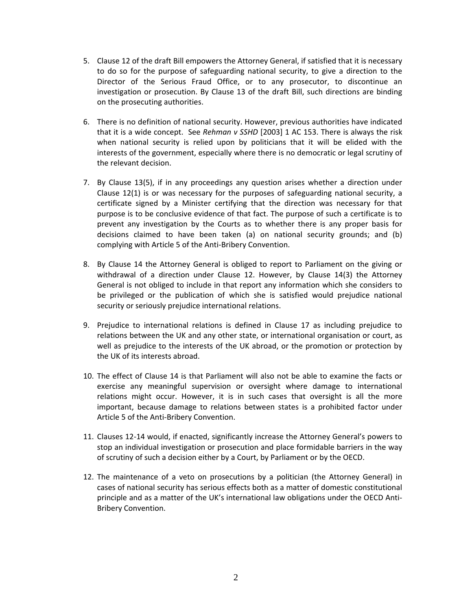- 5. Clause 12 of the draft Bill empowers the Attorney General, if satisfied that it is necessary to do so for the purpose of safeguarding national security, to give a direction to the Director of the Serious Fraud Office, or to any prosecutor, to discontinue an investigation or prosecution. By Clause 13 of the draft Bill, such directions are binding on the prosecuting authorities.
- 6. There is no definition of national security. However, previous authorities have indicated that it is a wide concept. See *Rehman v SSHD* [2003] 1 AC 153. There is always the risk when national security is relied upon by politicians that it will be elided with the interests of the government, especially where there is no democratic or legal scrutiny of the relevant decision.
- 7. By Clause 13(5), if in any proceedings any question arises whether a direction under Clause 12(1) is or was necessary for the purposes of safeguarding national security, a certificate signed by a Minister certifying that the direction was necessary for that purpose is to be conclusive evidence of that fact. The purpose of such a certificate is to prevent any investigation by the Courts as to whether there is any proper basis for decisions claimed to have been taken (a) on national security grounds; and (b) complying with Article 5 of the Anti‐Bribery Convention.
- 8. By Clause 14 the Attorney General is obliged to report to Parliament on the giving or withdrawal of a direction under Clause 12. However, by Clause 14(3) the Attorney General is not obliged to include in that report any information which she considers to be privileged or the publication of which she is satisfied would prejudice national security or seriously prejudice international relations.
- 9. Prejudice to international relations is defined in Clause 17 as including prejudice to relations between the UK and any other state, or international organisation or court, as well as prejudice to the interests of the UK abroad, or the promotion or protection by the UK of its interests abroad.
- 10. The effect of Clause 14 is that Parliament will also not be able to examine the facts or exercise any meaningful supervision or oversight where damage to international relations might occur. However, it is in such cases that oversight is all the more important, because damage to relations between states is a prohibited factor under Article 5 of the Anti‐Bribery Convention.
- 11. Clauses 12‐14 would, if enacted, significantly increase the Attorney General's powers to stop an individual investigation or prosecution and place formidable barriers in the way of scrutiny of such a decision either by a Court, by Parliament or by the OECD.
- 12. The maintenance of a veto on prosecutions by a politician (the Attorney General) in cases of national security has serious effects both as a matter of domestic constitutional principle and as a matter of the UK's international law obligations under the OECD Anti‐ Bribery Convention.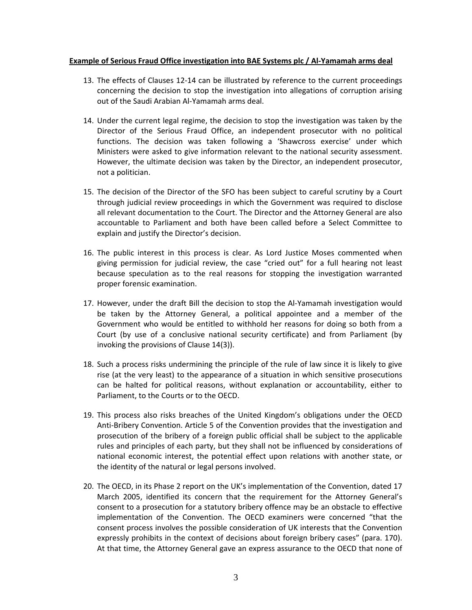### **Example of Serious Fraud Office investigation into BAE Systems plc / Al‐Yamamah arms deal**

- 13. The effects of Clauses 12‐14 can be illustrated by reference to the current proceedings concerning the decision to stop the investigation into allegations of corruption arising out of the Saudi Arabian Al‐Yamamah arms deal.
- 14. Under the current legal regime, the decision to stop the investigation was taken by the Director of the Serious Fraud Office, an independent prosecutor with no political functions. The decision was taken following a 'Shawcross exercise' under which Ministers were asked to give information relevant to the national security assessment. However, the ultimate decision was taken by the Director, an independent prosecutor, not a politician.
- 15. The decision of the Director of the SFO has been subject to careful scrutiny by a Court through judicial review proceedings in which the Government was required to disclose all relevant documentation to the Court. The Director and the Attorney General are also accountable to Parliament and both have been called before a Select Committee to explain and justify the Director's decision.
- 16. The public interest in this process is clear. As Lord Justice Moses commented when giving permission for judicial review, the case "cried out" for a full hearing not least because speculation as to the real reasons for stopping the investigation warranted proper forensic examination.
- 17. However, under the draft Bill the decision to stop the Al‐Yamamah investigation would be taken by the Attorney General, a political appointee and a member of the Government who would be entitled to withhold her reasons for doing so both from a Court (by use of a conclusive national security certificate) and from Parliament (by invoking the provisions of Clause 14(3)).
- 18. Such a process risks undermining the principle of the rule of law since it is likely to give rise (at the very least) to the appearance of a situation in which sensitive prosecutions can be halted for political reasons, without explanation or accountability, either to Parliament, to the Courts or to the OECD.
- 19. This process also risks breaches of the United Kingdom's obligations under the OECD Anti-Bribery Convention. Article 5 of the Convention provides that the investigation and prosecution of the bribery of a foreign public official shall be subject to the applicable rules and principles of each party, but they shall not be influenced by considerations of national economic interest, the potential effect upon relations with another state, or the identity of the natural or legal persons involved.
- 20. The OECD, in its Phase 2 report on the UK's implementation of the Convention, dated 17 March 2005, identified its concern that the requirement for the Attorney General's consent to a prosecution for a statutory bribery offence may be an obstacle to effective implementation of the Convention. The OECD examiners were concerned "that the consent process involves the possible consideration of UK interests that the Convention expressly prohibits in the context of decisions about foreign bribery cases" (para. 170). At that time, the Attorney General gave an express assurance to the OECD that none of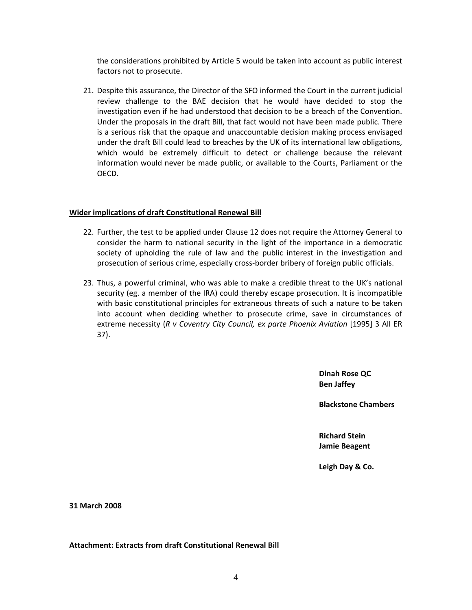the considerations prohibited by Article 5 would be taken into account as public interest factors not to prosecute.

21. Despite this assurance, the Director of the SFO informed the Court in the current judicial review challenge to the BAE decision that he would have decided to stop the investigation even if he had understood that decision to be a breach of the Convention. Under the proposals in the draft Bill, that fact would not have been made public. There is a serious risk that the opaque and unaccountable decision making process envisaged under the draft Bill could lead to breaches by the UK of its international law obligations, which would be extremely difficult to detect or challenge because the relevant information would never be made public, or available to the Courts, Parliament or the OECD.

### **Wider implications of draft Constitutional Renewal Bill**

- 22. Further, the test to be applied under Clause 12 does not require the Attorney General to consider the harm to national security in the light of the importance in a democratic society of upholding the rule of law and the public interest in the investigation and prosecution of serious crime, especially cross‐border bribery of foreign public officials.
- 23. Thus, a powerful criminal, who was able to make a credible threat to the UK's national security (eg. a member of the IRA) could thereby escape prosecution. It is incompatible with basic constitutional principles for extraneous threats of such a nature to be taken into account when deciding whether to prosecute crime, save in circumstances of extreme necessity (*R v Coventry City Council, ex parte Phoenix Aviation* [1995] 3 All ER 37).

**Dinah Rose QC Ben Jaffey**

**Blackstone Chambers**

**Richard Stein Jamie Beagent**

**Leigh Day & Co.**

**31 March 2008**

**Attachment: Extracts from draft Constitutional Renewal Bill**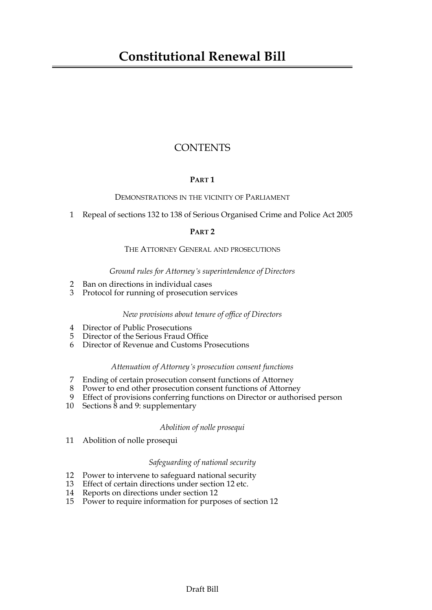# **CONTENTS**

# PART<sub>1</sub>

# **DEMONSTRATIONS IN THE VICINITY OF PARLIAMENT**

1 Repeal of sections 132 to 138 of Serious Organised Crime and Police Act 2005

# PART<sub>2</sub>

# THE ATTORNEY GENERAL AND PROSECUTIONS

# Ground rules for Attorney's superintendence of Directors

- Ban on directions in individual cases  $\overline{2}$
- 3 Protocol for running of prosecution services

# New provisions about tenure of office of Directors

- 4 Director of Public Prosecutions
- 5 Director of the Serious Fraud Office
- 6 Director of Revenue and Customs Prosecutions

# Attenuation of Attorney's prosecution consent functions

- 7 Ending of certain prosecution consent functions of Attorney
- 8 Power to end other prosecution consent functions of Attorney
- 9 Effect of provisions conferring functions on Director or authorised person
- 10 Sections  $\overline{8}$  and 9: supplementary

# Abolition of nolle prosequi

11 Abolition of nolle prosequi

# Safeguarding of national security

- 12 Power to intervene to safeguard national security<br>13 Effect of certain directions under section 12 etc.
- 
- 14 Reports on directions under section 12
- 15 Power to require information for purposes of section 12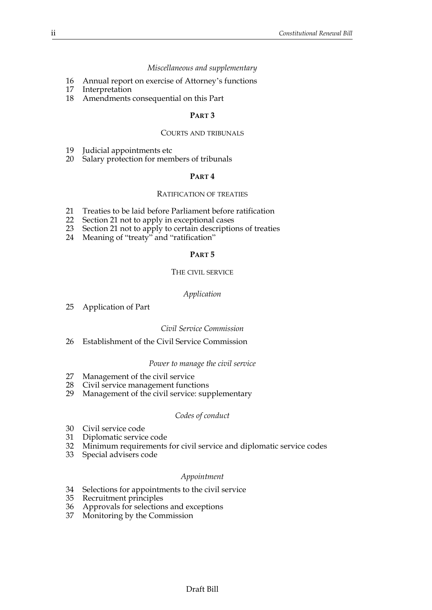### Miscellaneous and supplementary

- 16 Annual report on exercise of Attorney's functions
- 17 Interpretation
- 18 Amendments consequential on this Part

### PART<sub>3</sub>

### **COURTS AND TRIBUNALS**

- 19 Judicial appointments etc
- 20 Salary protection for members of tribunals

### PART<sub>4</sub>

# RATIFICATION OF TREATIES

- 21 Treaties to be laid before Parliament before ratification
- 22 Section 21 not to apply in exceptional cases
- 23 Section 21 not to apply to certain descriptions of treaties
- 24 Meaning of "treaty" and "ratification"

### PART<sub>5</sub>

### THE CIVIL SERVICE

#### Application

25 Application of Part

### Civil Service Commission

26 **Establishment of the Civil Service Commission** 

#### Power to manage the civil service

- 27 Management of the civil service
- 28 Civil service management functions
- 29 Management of the civil service: supplementary

### Codes of conduct

- 30 Civil service code
- 31 Diplomatic service code
- 32 Minimum requirements for civil service and diplomatic service codes
- 33 Special advisers code

#### Appointment

- Selections for appointments to the civil service 34
- 35 Recruitment principles
- Approvals for selections and exceptions 36
- 37 Monitoring by the Commission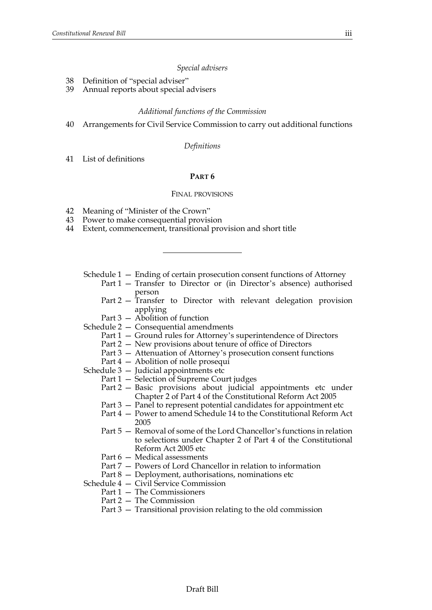### Special advisers

- Definition of "special adviser" 38
- 39 Annual reports about special advisers

### Additional functions of the Commission

40 Arrangements for Civil Service Commission to carry out additional functions

Definitions

41 List of definitions

### PART<sub>6</sub>

### **FINAL PROVISIONS**

- 42 Meaning of "Minister of the Crown"
- 43 Power to make consequential provision
- 44 Extent, commencement, transitional provision and short title

Schedule 1 – Ending of certain prosecution consent functions of Attorney

- Part 1 Transfer to Director or (in Director's absence) authorised person
- Part 2 Transfer to Director with relevant delegation provision applying
- Part  $3$  Abolition of function
- Schedule  $2$  Consequential amendments
	- Part 1 Ground rules for Attorney's superintendence of Directors
	- Part 2 New provisions about tenure of office of Directors
	- Part 3 Attenuation of Attorney's prosecution consent functions
	- Part 4 Abolition of nolle prosequi
- Schedule 3 Judicial appointments etc
	- Part 1 Selection of Supreme Court judges
	- Part 2 Basic provisions about judicial appointments etc under Chapter 2 of Part 4 of the Constitutional Reform Act 2005
	- Part 3 Panel to represent potential candidates for appointment etc
	- Part 4 Power to amend Schedule 14 to the Constitutional Reform Act 2005
	- Part 5 Removal of some of the Lord Chancellor's functions in relation to selections under Chapter 2 of Part 4 of the Constitutional Reform Act 2005 etc
	- Part 6 Medical assessments
	- Part 7 Powers of Lord Chancellor in relation to information
	- Part 8 Deployment, authorisations, nominations etc
- Schedule 4 Civil Service Commission
	- Part 1 The Commissioners
		- Part 2 The Commission
		- Part  $3$  Transitional provision relating to the old commission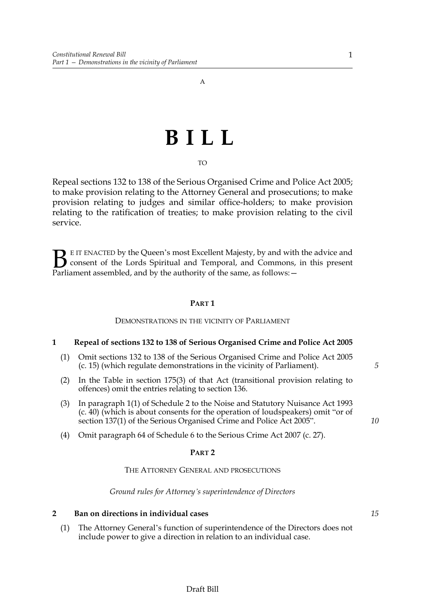# BILL

### **TO**

Repeal sections 132 to 138 of the Serious Organised Crime and Police Act 2005; to make provision relating to the Attorney General and prosecutions; to make provision relating to judges and similar office-holders; to make provision relating to the ratification of treaties; to make provision relating to the civil service.

E IT ENACTED by the Queen's most Excellent Majesty, by and with the advice and consent of the Lords Spiritual and Temporal, and Commons, in this present Parliament assembled, and by the authority of the same, as follows: -

### PART<sub>1</sub>

### **DEMONSTRATIONS IN THE VICINITY OF PARLIAMENT**

#### $\mathbf{1}$ Repeal of sections 132 to 138 of Serious Organised Crime and Police Act 2005

- (1) Omit sections 132 to 138 of the Serious Organised Crime and Police Act 2005 (c. 15) (which regulate demonstrations in the vicinity of Parliament).
- In the Table in section 175(3) of that Act (transitional provision relating to  $(2)$ offences) omit the entries relating to section 136.
- In paragraph 1(1) of Schedule 2 to the Noise and Statutory Nuisance Act 1993  $(3)$ (c. 40) (which is about consents for the operation of loudspeakers) omit "or of section 137(1) of the Serious Organised Crime and Police Act 2005".
- (4) Omit paragraph 64 of Schedule 6 to the Serious Crime Act 2007 (c. 27).

#### PART<sub>2</sub>

#### THE ATTORNEY GENERAL AND PROSECUTIONS

Ground rules for Attorney's superintendence of Directors

#### $\overline{2}$ Ban on directions in individual cases

The Attorney General's function of superintendence of the Directors does not  $(1)$ include power to give a direction in relation to an individual case.

5

10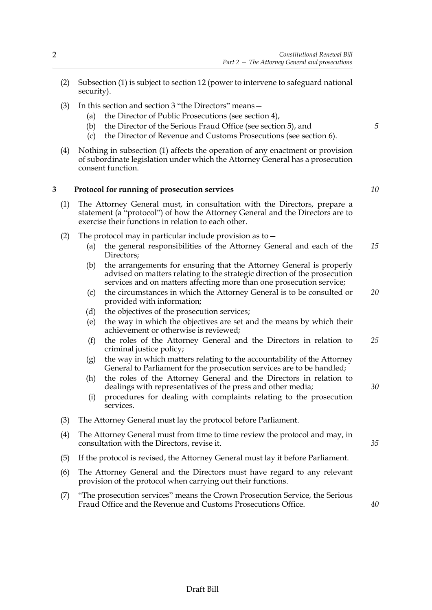5

 $10$ 

 $30$ 

35

40

- $(2)$ Subsection (1) is subject to section 12 (power to intervene to safeguard national security).
- $(3)$  In this section and section 3 "the Directors" means  $$ 
	- the Director of Public Prosecutions (see section 4),  $(a)$
	- $(b)$ the Director of the Serious Fraud Office (see section 5), and
	- $(c)$ the Director of Revenue and Customs Prosecutions (see section 6).
- Nothing in subsection (1) affects the operation of any enactment or provision  $(4)$ of subordinate legislation under which the Attorney General has a prosecution consent function.

#### 3 Protocol for running of prosecution services

- The Attorney General must, in consultation with the Directors, prepare a  $(1)$ statement (a "protocol") of how the Attorney General and the Directors are to exercise their functions in relation to each other.
- (2) The protocol may in particular include provision as to  $$ 
	- the general responsibilities of the Attorney General and each of the 15  $(a)$ Directors;
	- the arrangements for ensuring that the Attorney General is properly (b) advised on matters relating to the strategic direction of the prosecution services and on matters affecting more than one prosecution service;
	- the circumstances in which the Attorney General is to be consulted or  $(c)$ 20 provided with information;
	- $(d)$ the objectives of the prosecution services;
	- the way in which the objectives are set and the means by which their  $(e)$ achievement or otherwise is reviewed;
	- the roles of the Attorney General and the Directors in relation to  $(f)$ 25 criminal justice policy;
	- the way in which matters relating to the accountability of the Attorney  $(g)$ General to Parliament for the prosecution services are to be handled;
	- the roles of the Attorney General and the Directors in relation to  $(h)$ dealings with representatives of the press and other media;
	- procedures for dealing with complaints relating to the prosecution  $(i)$ services.
- (3) The Attorney General must lay the protocol before Parliament.
- $(4)$ The Attorney General must from time to time review the protocol and may, in consultation with the Directors, revise it.
- If the protocol is revised, the Attorney General must lay it before Parliament.  $(5)$
- The Attorney General and the Directors must have regard to any relevant  $(6)$ provision of the protocol when carrying out their functions.
- "The prosecution services" means the Crown Prosecution Service, the Serious  $(7)$ Fraud Office and the Revenue and Customs Prosecutions Office.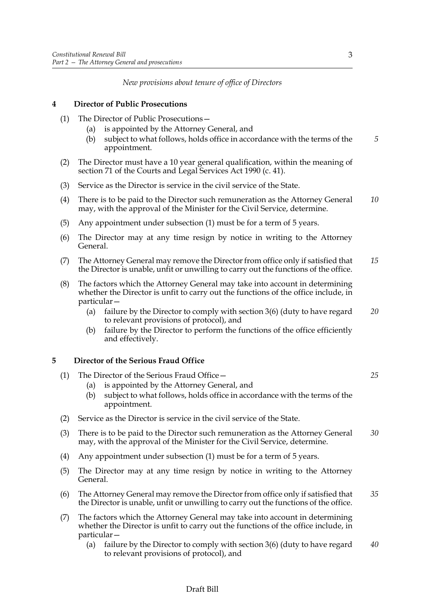New provisions about tenure of office of Directors

#### $\overline{\mathbf{4}}$ **Director of Public Prosecutions**

- (1) The Director of Public Prosecutions-
	- (a) is appointed by the Attorney General, and
	- subject to what follows, holds office in accordance with the terms of the  $(b)$ 5 appointment.
- (2) The Director must have a 10 year general qualification, within the meaning of section 71 of the Courts and Legal Services Act 1990 (c. 41).
- Service as the Director is service in the civil service of the State.  $(3)$
- 10  $(4)$ There is to be paid to the Director such remuneration as the Attorney General may, with the approval of the Minister for the Civil Service, determine.
- Any appointment under subsection (1) must be for a term of 5 years.  $(5)$
- The Director may at any time resign by notice in writing to the Attorney  $(6)$ General.
- (7) The Attorney General may remove the Director from office only if satisfied that 15 the Director is unable, unfit or unwilling to carry out the functions of the office.
- $(8)$ The factors which the Attorney General may take into account in determining whether the Director is unfit to carry out the functions of the office include, in particular
	- failure by the Director to comply with section 3(6) (duty to have regard 20  $(a)$ to relevant provisions of protocol), and
	- failure by the Director to perform the functions of the office efficiently (b) and effectively.

#### 5 Director of the Serious Fraud Office

- (1) The Director of the Serious Fraud Office -25 is appointed by the Attorney General, and  $(a)$ subject to what follows, holds office in accordance with the terms of the  $(b)$ appointment. (2) Service as the Director is service in the civil service of the State. (3) There is to be paid to the Director such remuneration as the Attorney General 30 may, with the approval of the Minister for the Civil Service, determine. (4) Any appointment under subsection  $(1)$  must be for a term of 5 years.
	- The Director may at any time resign by notice in writing to the Attorney  $(5)$ General.
	- $(6)$ The Attorney General may remove the Director from office only if satisfied that 35 the Director is unable, unfit or unwilling to carry out the functions of the office.
	- The factors which the Attorney General may take into account in determining  $(7)$ whether the Director is unfit to carry out the functions of the office include, in particular-
		- (a) failure by the Director to comply with section  $3(6)$  (duty to have regard 40 to relevant provisions of protocol), and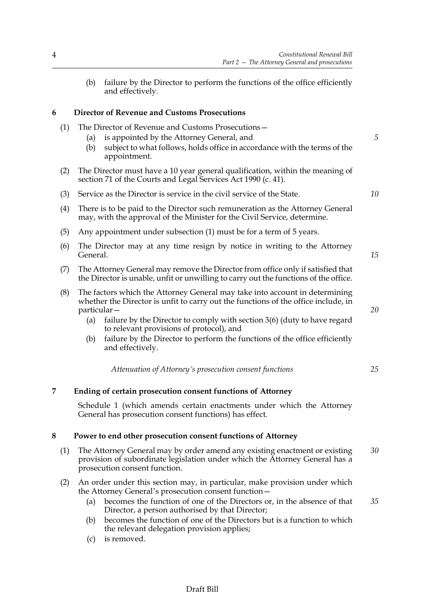5

15

20

25

(b) failure by the Director to perform the functions of the office efficiently and effectively.

#### 6 **Director of Revenue and Customs Prosecutions**

- (1) The Director of Revenue and Customs Prosecutions-
	- (a) is appointed by the Attorney General, and
	- subject to what follows, holds office in accordance with the terms of the (b) appointment.
- (2) The Director must have a 10 year general qualification, within the meaning of section 71 of the Courts and Legal Services Act 1990 (c. 41).
- (3) Service as the Director is service in the civil service of the State.  $10<sup>10</sup>$
- (4) There is to be paid to the Director such remuneration as the Attorney General may, with the approval of the Minister for the Civil Service, determine.
- Any appointment under subsection (1) must be for a term of 5 years.  $(5)$
- The Director may at any time resign by notice in writing to the Attorney  $(6)$ General.
- The Attorney General may remove the Director from office only if satisfied that  $(7)$ the Director is unable, unfit or unwilling to carry out the functions of the office.
- The factors which the Attorney General may take into account in determining  $(8)$ whether the Director is unfit to carry out the functions of the office include, in particular-
	- (a) failure by the Director to comply with section 3(6) (duty to have regard to relevant provisions of protocol), and
	- failure by the Director to perform the functions of the office efficiently (b) and effectively.

Attenuation of Attorney's prosecution consent functions

#### 7 Ending of certain prosecution consent functions of Attorney

Schedule 1 (which amends certain enactments under which the Attorney General has prosecution consent functions) has effect.

#### Power to end other prosecution consent functions of Attorney 8

- $(1)$ The Attorney General may by order amend any existing enactment or existing 30 provision of subordinate legislation under which the Attorney General has a prosecution consent function.
- An order under this section may, in particular, make provision under which  $(2)$ the Attorney General's prosecution consent function
	- becomes the function of one of the Directors or, in the absence of that  $(a)$ 35 Director, a person authorised by that Director;
	- becomes the function of one of the Directors but is a function to which  $(b)$ the relevant delegation provision applies;
	- $(c)$  is removed.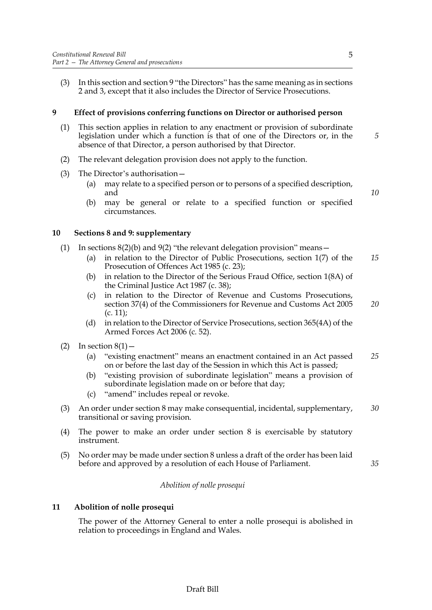In this section and section 9 "the Directors" has the same meaning as in sections  $(3)$ 2 and 3, except that it also includes the Director of Service Prosecutions.

#### 9 Effect of provisions conferring functions on Director or authorised person

- $(1)$ This section applies in relation to any enactment or provision of subordinate legislation under which a function is that of one of the Directors or, in the absence of that Director, a person authorised by that Director.
- The relevant delegation provision does not apply to the function.  $(2)$
- $(3)$ The Director's authorisation –
	- (a) may relate to a specified person or to persons of a specified description, and
	- may be general or relate to a specified function or specified (b) circumstances.

#### Sections 8 and 9: supplementary 10

- (1) In sections  $8(2)(b)$  and  $9(2)$  "the relevant delegation provision" means
	- in relation to the Director of Public Prosecutions, section 1(7) of the  $(a)$ 15 Prosecution of Offences Act 1985 (c. 23);
	- (b) in relation to the Director of the Serious Fraud Office, section 1(8A) of the Criminal Justice Act 1987 (c. 38);
	- $(c)$ in relation to the Director of Revenue and Customs Prosecutions, section 37(4) of the Commissioners for Revenue and Customs Act 2005 20  $(c. 11);$
	- (d) in relation to the Director of Service Prosecutions, section 365(4A) of the Armed Forces Act 2006 (c. 52).
- (2) In section  $8(1)$ 
	- "existing enactment" means an enactment contained in an Act passed 25  $(a)$ on or before the last day of the Session in which this Act is passed;
	- "existing provision of subordinate legislation" means a provision of  $(b)$ subordinate legislation made on or before that day;
	- "amend" includes repeal or revoke.  $(c)$
- (3) An order under section 8 may make consequential, incidental, supplementary, 30 transitional or saving provision.
- (4) The power to make an order under section 8 is exercisable by statutory instrument.
- No order may be made under section 8 unless a draft of the order has been laid  $(5)$ before and approved by a resolution of each House of Parliament.

# Abolition of nolle prosequi

#### $11$ Abolition of nolle prosequi

The power of the Attorney General to enter a nolle prosequi is abolished in relation to proceedings in England and Wales.

5

 $10$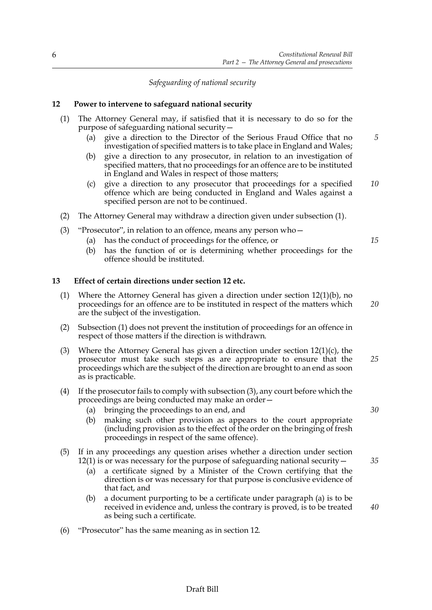15

20

30

35

# Safeguarding of national security

#### 12 Power to intervene to safeguard national security

- (1) The Attorney General may, if satisfied that it is necessary to do so for the purpose of safeguarding national security –
	- give a direction to the Director of the Serious Fraud Office that no  $\sqrt{5}$  $(a)$ investigation of specified matters is to take place in England and Wales;
	- give a direction to any prosecutor, in relation to an investigation of (b) specified matters, that no proceedings for an offence are to be instituted in England and Wales in respect of those matters;
	- (c) give a direction to any prosecutor that proceedings for a specified  $10$ offence which are being conducted in England and Wales against a specified person are not to be continued.
- (2) The Attorney General may withdraw a direction given under subsection (1).
- $(3)$ "Prosecutor", in relation to an offence, means any person who
	- has the conduct of proceedings for the offence, or  $(a)$
	- has the function of or is determining whether proceedings for the (b) offence should be instituted.

#### 13 Effect of certain directions under section 12 etc.

- (1) Where the Attorney General has given a direction under section  $12(1)(b)$ , no proceedings for an offence are to be instituted in respect of the matters which are the subject of the investigation.
- Subsection (1) does not prevent the institution of proceedings for an offence in  $(2)$ respect of those matters if the direction is withdrawn.
- Where the Attorney General has given a direction under section  $12(1)(c)$ , the  $(3)$ prosecutor must take such steps as are appropriate to ensure that the 25 proceedings which are the subject of the direction are brought to an end as soon as is practicable.
- $(4)$  If the prosecutor fails to comply with subsection  $(3)$ , any court before which the proceedings are being conducted may make an order-
	- $(a)$ bringing the proceedings to an end, and
	- making such other provision as appears to the court appropriate (b) (including provision as to the effect of the order on the bringing of fresh proceedings in respect of the same offence).

#### If in any proceedings any question arises whether a direction under section  $(5)$  $12(1)$  is or was necessary for the purpose of safeguarding national security  $-$

- a certificate signed by a Minister of the Crown certifying that the  $(a)$ direction is or was necessary for that purpose is conclusive evidence of that fact, and
- a document purporting to be a certificate under paragraph (a) is to be (b) received in evidence and, unless the contrary is proved, is to be treated  $40$ as being such a certificate.
- $(6)$  "Prosecutor" has the same meaning as in section 12.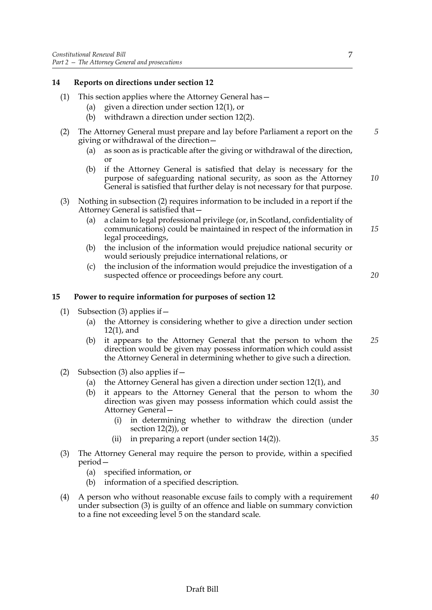#### 14 Reports on directions under section 12

- (1) This section applies where the Attorney General has  $-$ 
	- (a) given a direction under section  $12(1)$ , or
	- $(b)$ withdrawn a direction under section 12(2).
- (2) The Attorney General must prepare and lay before Parliament a report on the giving or withdrawal of the direction-
	- (a) as soon as is practicable after the giving or withdrawal of the direction,  $\alpha$
	- (b) if the Attorney General is satisfied that delay is necessary for the purpose of safeguarding national security, as soon as the Attorney General is satisfied that further delay is not necessary for that purpose.
- Nothing in subsection (2) requires information to be included in a report if the  $(3)$ Attorney General is satisfied that
	- a claim to legal professional privilege (or, in Scotland, confidentiality of  $(a)$ communications) could be maintained in respect of the information in legal proceedings,
	- the inclusion of the information would prejudice national security or (b) would seriously prejudice international relations, or
	- the inclusion of the information would prejudice the investigation of a  $(c)$ suspected offence or proceedings before any court.

#### 15 Power to require information for purposes of section 12

- (1) Subsection (3) applies if  $$ 
	- the Attorney is considering whether to give a direction under section  $(a)$  $12(1)$ , and
	- it appears to the Attorney General that the person to whom the 25  $(b)$ direction would be given may possess information which could assist the Attorney General in determining whether to give such a direction.
- (2) Subsection (3) also applies if  $$ 
	- the Attorney General has given a direction under section 12(1), and  $(a)$
	- it appears to the Attorney General that the person to whom the (b) direction was given may possess information which could assist the Attorney General
		- in determining whether to withdraw the direction (under  $(i)$ section  $12(2)$ ), or
		- in preparing a report (under section  $14(2)$ ).  $(ii)$
- The Attorney General may require the person to provide, within a specified  $(3)$ period-
	- (a) specified information, or
	- (b) information of a specified description.
- A person who without reasonable excuse fails to comply with a requirement  $40$  $(4)$ under subsection (3) is guilty of an offence and liable on summary conviction to a fine not exceeding level 5 on the standard scale.

7

 $\overline{5}$ 

10

15

 $20$ 

30